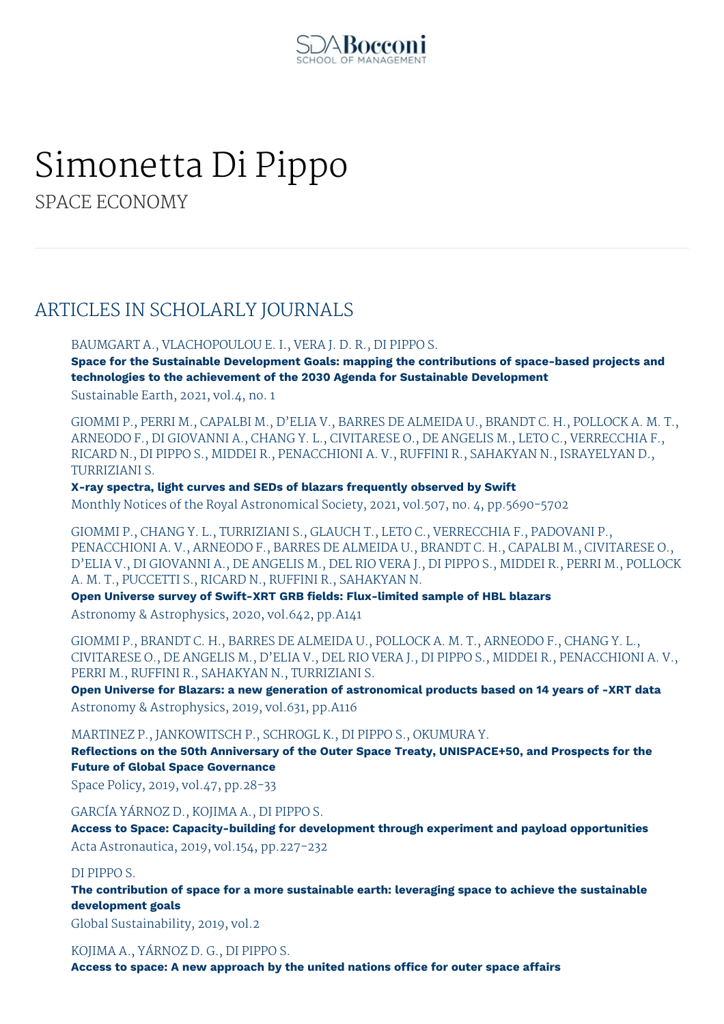

# Simonetta Di Pippo

SPACE ECONOMY

# ARTICLES IN SCHOLARLY JOURNALS

BAUMGART A., VLACHOPOULOU E. I., VERA J. D. R., DI PIPPO S.

**Space for the Sustainable Development Goals: mapping the contributions of space-based projects and technologies to the achievement of the 2030 Agenda for Sustainable Development**

Sustainable Earth, 2021, vol.4, no. 1

GIOMMI P., PERRI M., CAPALBI M., D'ELIA V., BARRES DE ALMEIDA U., BRANDT C. H., POLLOCK A. M. T., ARNEODO F., DI GIOVANNI A., CHANG Y. L., CIVITARESE O., DE ANGELIS M., LETO C., VERRECCHIA F., RICARD N., DI PIPPO S., MIDDEI R., PENACCHIONI A. V., RUFFINI R., SAHAKYAN N., ISRAYELYAN D., TURRIZIANI S.

#### **X-ray spectra, light curves and SEDs of blazars frequently observed by Swift**

Monthly Notices of the Royal Astronomical Society, 2021, vol.507, no. 4, pp.5690-5702

GIOMMI P., CHANG Y. L., TURRIZIANI S., GLAUCH T., LETO C., VERRECCHIA F., PADOVANI P., PENACCHIONI A. V., ARNEODO F., BARRES DE ALMEIDA U., BRANDT C. H., CAPALBI M., CIVITARESE O., D'ELIA V., DI GIOVANNI A., DE ANGELIS M., DEL RIO VERA J., DI PIPPO S., MIDDEI R., PERRI M., POLLOCK A. M. T., PUCCETTI S., RICARD N., RUFFINI R., SAHAKYAN N.

**Open Universe survey of Swift-XRT GRB fields: Flux-limited sample of HBL blazars** Astronomy & Astrophysics, 2020, vol.642, pp.A141

GIOMMI P., BRANDT C. H., BARRES DE ALMEIDA U., POLLOCK A. M. T., ARNEODO F., CHANG Y. L., CIVITARESE O., DE ANGELIS M., D'ELIA V., DEL RIO VERA J., DI PIPPO S., MIDDEI R., PENACCHIONI A. V., PERRI M., RUFFINI R., SAHAKYAN N., TURRIZIANI S.

**Open Universe for Blazars: a new generation of astronomical products based on 14 years of -XRT data** Astronomy & Astrophysics, 2019, vol.631, pp.A116

MARTINEZ P., JANKOWITSCH P., SCHROGL K., DI PIPPO S., OKUMURA Y.

**Reflections on the 50th Anniversary of the Outer Space Treaty, UNISPACE+50, and Prospects for the Future of Global Space Governance**

Space Policy, 2019, vol.47, pp.28-33

GARCÍA YÁRNOZ D., KOJIMA A., DI PIPPO S.

**Access to Space: Capacity-building for development through experiment and payload opportunities** Acta Astronautica, 2019, vol.154, pp.227-232

#### DI PIPPO S.

**The contribution of space for a more sustainable earth: leveraging space to achieve the sustainable development goals**

Global Sustainability, 2019, vol.2

KOJIMA A., YÁRNOZ D. G., DI PIPPO S.

**Access to space: A new approach by the united nations office for outer space affairs**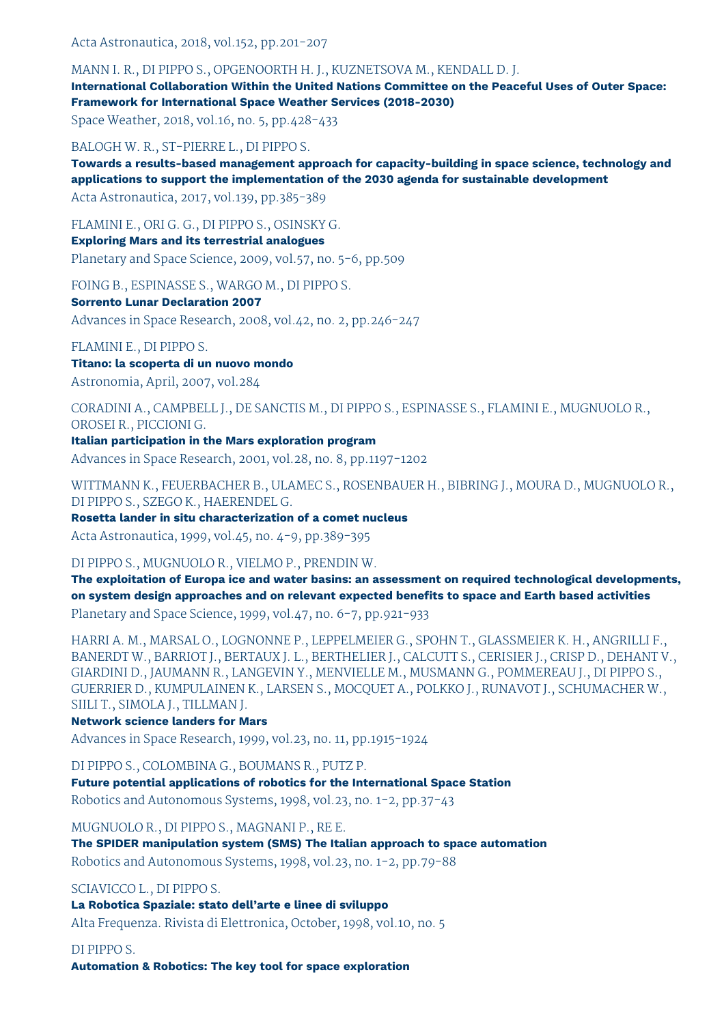Acta Astronautica, 2018, vol.152, pp.201-207

#### MANN I. R., DI PIPPO S., OPGENOORTH H. J., KUZNETSOVA M., KENDALL D. J.

**International Collaboration Within the United Nations Committee on the Peaceful Uses of Outer Space: Framework for International Space Weather Services (2018-2030)**

Space Weather, 2018, vol.16, no. 5, pp.428-433

BALOGH W. R., ST-PIERRE L., DI PIPPO S.

**Towards a results-based management approach for capacity-building in space science, technology and applications to support the implementation of the 2030 agenda for sustainable development** Acta Astronautica, 2017, vol.139, pp.385-389

FLAMINI E., ORI G. G., DI PIPPO S., OSINSKY G.

**Exploring Mars and its terrestrial analogues**

Planetary and Space Science, 2009, vol.57, no. 5-6, pp.509

FOING B., ESPINASSE S., WARGO M., DI PIPPO S.

**Sorrento Lunar Declaration 2007**

Advances in Space Research, 2008, vol.42, no. 2, pp.246-247

FLAMINI E., DI PIPPO S.

**Titano: la scoperta di un nuovo mondo** Astronomia, April, 2007, vol.284

CORADINI A., CAMPBELL J., DE SANCTIS M., DI PIPPO S., ESPINASSE S., FLAMINI E., MUGNUOLO R., OROSEI R., PICCIONI G.

**Italian participation in the Mars exploration program** Advances in Space Research, 2001, vol.28, no. 8, pp.1197-1202

WITTMANN K., FEUERBACHER B., ULAMEC S., ROSENBAUER H., BIBRING J., MOURA D., MUGNUOLO R., DI PIPPO S., SZEGO K., HAERENDEL G.

**Rosetta lander in situ characterization of a comet nucleus** Acta Astronautica, 1999, vol.45, no. 4-9, pp.389-395

DI PIPPO S., MUGNUOLO R., VIELMO P., PRENDIN W.

**The exploitation of Europa ice and water basins: an assessment on required technological developments, on system design approaches and on relevant expected benefits to space and Earth based activities** Planetary and Space Science, 1999, vol.47, no. 6-7, pp.921-933

HARRI A. M., MARSAL O., LOGNONNE P., LEPPELMEIER G., SPOHN T., GLASSMEIER K. H., ANGRILLI F., BANERDT W., BARRIOT J., BERTAUX J. L., BERTHELIER J., CALCUTT S., CERISIER J., CRISP D., DEHANT V., GIARDINI D., JAUMANN R., LANGEVIN Y., MENVIELLE M., MUSMANN G., POMMEREAU J., DI PIPPO S., GUERRIER D., KUMPULAINEN K., LARSEN S., MOCQUET A., POLKKO J., RUNAVOT J., SCHUMACHER W., SIILI T., SIMOLA J., TILLMAN J.

**Network science landers for Mars**

Advances in Space Research, 1999, vol.23, no. 11, pp.1915-1924

DI PIPPO S., COLOMBINA G., BOUMANS R., PUTZ P. **Future potential applications of robotics for the International Space Station** Robotics and Autonomous Systems, 1998, vol.23, no. 1-2, pp.37-43

MUGNUOLO R., DI PIPPO S., MAGNANI P., RE E.

**The SPIDER manipulation system (SMS) The Italian approach to space automation** Robotics and Autonomous Systems, 1998, vol.23, no. 1-2, pp.79-88

SCIAVICCO L., DI PIPPO S.

**La Robotica Spaziale: stato dell'arte e linee di sviluppo** Alta Frequenza. Rivista di Elettronica, October, 1998, vol.10, no. 5

DI PIPPO S.

**Automation & Robotics: The key tool for space exploration**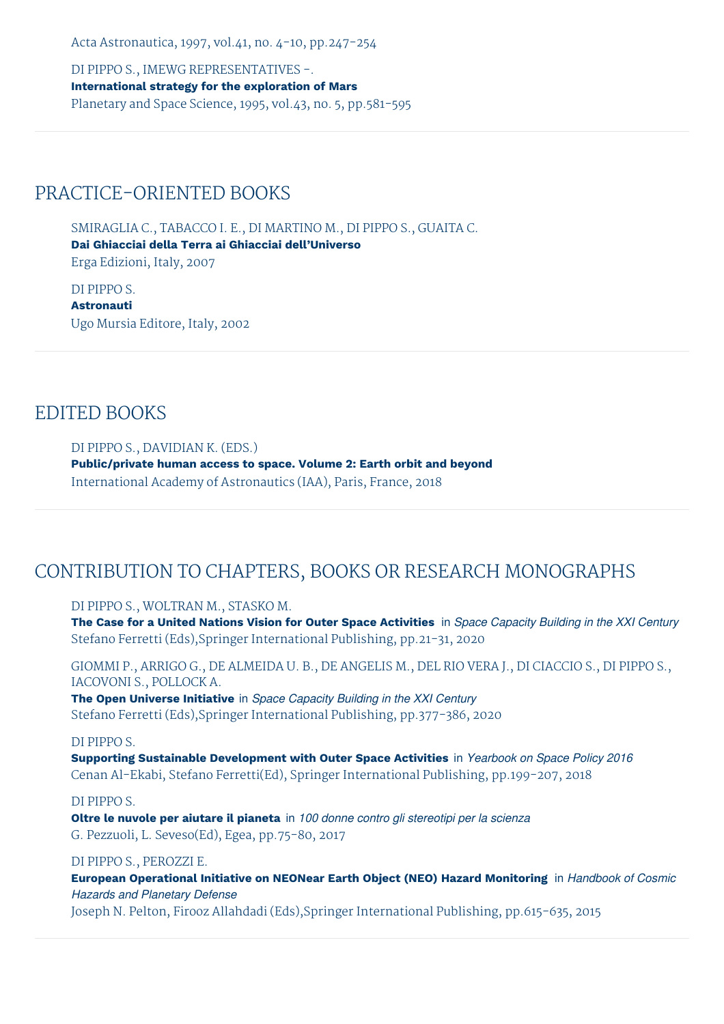Acta Astronautica, 1997, vol.41, no. 4-10, pp.247-254

DI PIPPO S., IMEWG REPRESENTATIVES -. **International strategy for the exploration of Mars** Planetary and Space Science, 1995, vol.43, no. 5, pp.581-595

### PRACTICE-ORIENTED BOOKS

SMIRAGLIA C., TABACCO I. E., DI MARTINO M., DI PIPPO S., GUAITA C. **Dai Ghiacciai della Terra ai Ghiacciai dell'Universo** Erga Edizioni, Italy, 2007

DI PIPPO S. **Astronauti** Ugo Mursia Editore, Italy, 2002

### EDITED BOOKS

DI PIPPO S., DAVIDIAN K. (EDS.) **Public/private human access to space. Volume 2: Earth orbit and beyond** International Academy of Astronautics (IAA), Paris, France, 2018

# CONTRIBUTION TO CHAPTERS, BOOKS OR RESEARCH MONOGRAPHS

DI PIPPO S., WOLTRAN M., STASKO M.

The Case for a United Nations Vision for Outer Space Activities in Space Capacity Building in the XXI Century Stefano Ferretti (Eds),Springer International Publishing, pp.21-31, 2020

GIOMMI P., ARRIGO G., DE ALMEIDA U. B., DE ANGELIS M., DEL RIO VERA J., DI CIACCIO S., DI PIPPO S., IACOVONI S., POLLOCK A.

**The Open Universe Initiative** in *Space Capacity Building in the XXI Century* Stefano Ferretti (Eds),Springer International Publishing, pp.377-386, 2020

#### DI PIPPO S.

**Supporting Sustainable Development with Outer Space Activities** in *Yearbook on Space Policy 2016* Cenan Al-Ekabi, Stefano Ferretti(Ed), Springer International Publishing, pp.199-207, 2018

#### DI PIPPO S.

**Oltre le nuvole per aiutare il pianeta** in *100 donne contro gli stereotipi per la scienza* G. Pezzuoli, L. Seveso(Ed), Egea, pp.75-80, 2017

#### DI PIPPO S., PEROZZI E.

**European Operational Initiative on NEONear Earth Object (NEO) Hazard Monitoring** in *Handbook of Cosmic Hazards and Planetary Defense*

Joseph N. Pelton, Firooz Allahdadi (Eds),Springer International Publishing, pp.615-635, 2015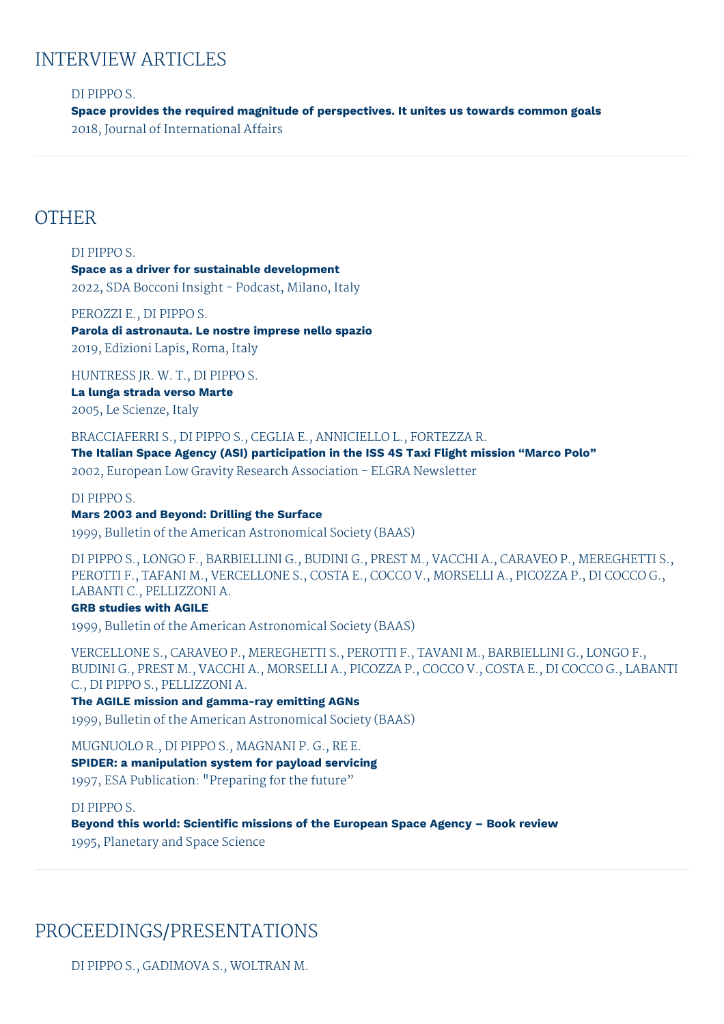### INTERVIEW ARTICLES

#### DI PIPPO S.

**Space provides the required magnitude of perspectives. It unites us towards common goals** 2018, Journal of International Affairs

### **OTHER**

#### DI PIPPO S.

**Space as a driver for sustainable development** 2022, SDA Bocconi Insight - Podcast, Milano, Italy

#### PEROZZI E., DI PIPPO S.

**Parola di astronauta. Le nostre imprese nello spazio** 2019, Edizioni Lapis, Roma, Italy

HUNTRESS JR. W. T., DI PIPPO S. **La lunga strada verso Marte** 2005, Le Scienze, Italy

BRACCIAFERRI S., DI PIPPO S., CEGLIA E., ANNICIELLO L., FORTEZZA R.

**The Italian Space Agency (ASI) participation in the ISS 4S Taxi Flight mission "Marco Polo"**

2002, European Low Gravity Research Association - ELGRA Newsletter

#### DI PIPPO S.

#### **Mars 2003 and Beyond: Drilling the Surface**

1999, Bulletin of the American Astronomical Society (BAAS)

DI PIPPO S., LONGO F., BARBIELLINI G., BUDINI G., PREST M., VACCHI A., CARAVEO P., MEREGHETTI S., PEROTTI F., TAFANI M., VERCELLONE S., COSTA E., COCCO V., MORSELLI A., PICOZZA P., DI COCCO G., LABANTI C., PELLIZZONI A.

#### **GRB studies with AGILE**

1999, Bulletin of the American Astronomical Society (BAAS)

VERCELLONE S., CARAVEO P., MEREGHETTI S., PEROTTI F., TAVANI M., BARBIELLINI G., LONGO F., BUDINI G., PREST M., VACCHI A., MORSELLI A., PICOZZA P., COCCO V., COSTA E., DI COCCO G., LABANTI C., DI PIPPO S., PELLIZZONI A.

**The AGILE mission and gamma-ray emitting AGNs** 1999, Bulletin of the American Astronomical Society (BAAS)

MUGNUOLO R., DI PIPPO S., MAGNANI P. G., RE E. **SPIDER: a manipulation system for payload servicing** 1997, ESA Publication: "Preparing for the future"

#### DI PIPPO S.

**Beyond this world: Scientific missions of the European Space Agency – Book review**

1995, Planetary and Space Science

# PROCEEDINGS/PRESENTATIONS

DI PIPPO S., GADIMOVA S., WOLTRAN M.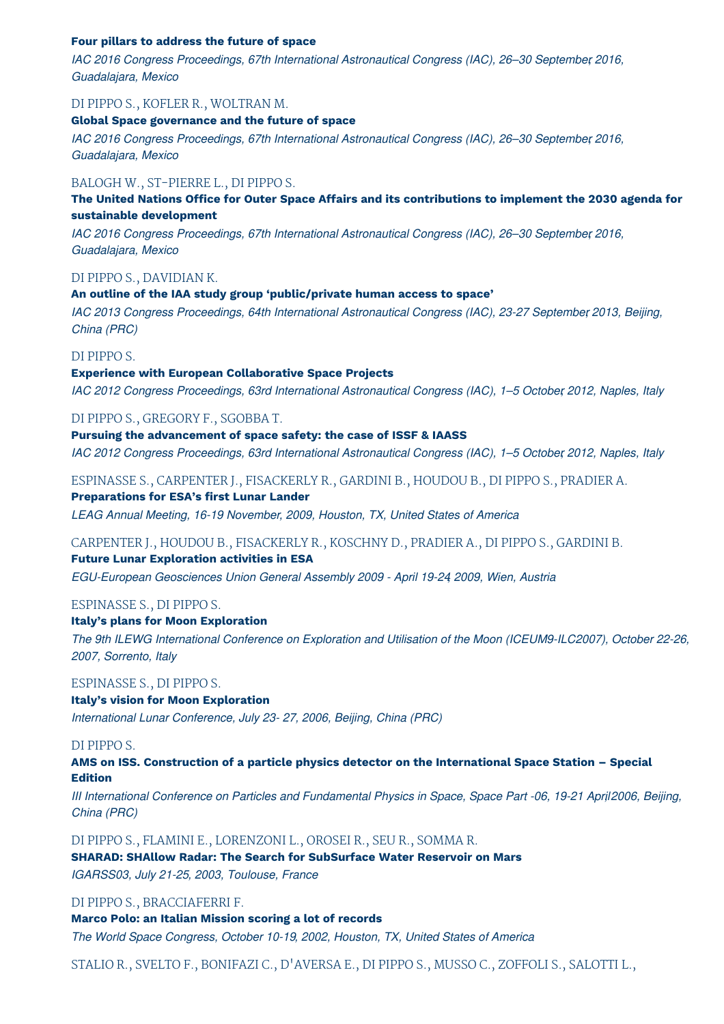#### **Four pillars to address the future of space**

*IAC 2016 Congress Proceedings, 67th International Astronautical Congress (IAC), 26–30 September, 2016, Guadalajara, Mexico*

#### DI PIPPO S., KOFLER R., WOLTRAN M.

#### **Global Space governance and the future of space**

*IAC 2016 Congress Proceedings, 67th International Astronautical Congress (IAC), 26–30 September, 2016, Guadalajara, Mexico*

#### BALOGH W., ST-PIERRE L., DI PIPPO S.

**The United Nations Office for Outer Space Affairs and its contributions to implement the 2030 agenda for sustainable development**

*IAC 2016 Congress Proceedings, 67th International Astronautical Congress (IAC), 26–30 September, 2016, Guadalajara, Mexico*

#### DI PIPPO S., DAVIDIAN K.

#### **An outline of the IAA study group 'public/private human access to space'**

*IAC 2013 Congress Proceedings, 64th International Astronautical Congress (IAC), 23-27 September, 2013, Beijing, China (PRC)*

#### DI PIPPO S.

#### **Experience with European Collaborative Space Projects**

*IAC 2012 Congress Proceedings, 63rd International Astronautical Congress (IAC), 1–5 October, 2012, Naples, Italy*

#### DI PIPPO S., GREGORY F., SGOBBA T.

#### **Pursuing the advancement of space safety: the case of ISSF & IAASS**

*IAC 2012 Congress Proceedings, 63rd International Astronautical Congress (IAC), 1–5 October, 2012, Naples, Italy*

ESPINASSE S., CARPENTER J., FISACKERLY R., GARDINI B., HOUDOU B., DI PIPPO S., PRADIER A.

#### **Preparations for ESA's first Lunar Lander**

*LEAG Annual Meeting, 16-19 November, 2009, Houston, TX, United States of America*

#### CARPENTER J., HOUDOU B., FISACKERLY R., KOSCHNY D., PRADIER A., DI PIPPO S., GARDINI B.

#### **Future Lunar Exploration activities in ESA**

*EGU-European Geosciences Union General Assembly 2009 - April 19-24, 2009, Wien, Austria*

#### ESPINASSE S., DI PIPPO S.

#### **Italy's plans for Moon Exploration**

*The 9th ILEWG International Conference on Exploration and Utilisation of the Moon (ICEUM9-ILC2007), October 22-26, 2007, Sorrento, Italy*

ESPINASSE S., DI PIPPO S.

#### **Italy's vision for Moon Exploration**

*International Lunar Conference, July 23- 27, 2006, Beijing, China (PRC)*

#### DI PIPPO S.

#### **AMS on ISS. Construction of a particle physics detector on the International Space Station – Special Edition**

III International Conference on Particles and Fundamental Physics in Space, Space Part -06, 19-21 April2006, Beijing, *China (PRC)*

DI PIPPO S., FLAMINI E., LORENZONI L., OROSEI R., SEU R., SOMMA R. **SHARAD: SHAllow Radar: The Search for SubSurface Water Reservoir on Mars** *IGARSS03, July 21-25, 2003, Toulouse, France*

#### DI PIPPO S., BRACCIAFERRI F.

**Marco Polo: an Italian Mission scoring a lot of records**

*The World Space Congress, October 10-19, 2002, Houston, TX, United States of America*

STALIO R., SVELTO F., BONIFAZI C., D'AVERSA E., DI PIPPO S., MUSSO C., ZOFFOLI S., SALOTTI L.,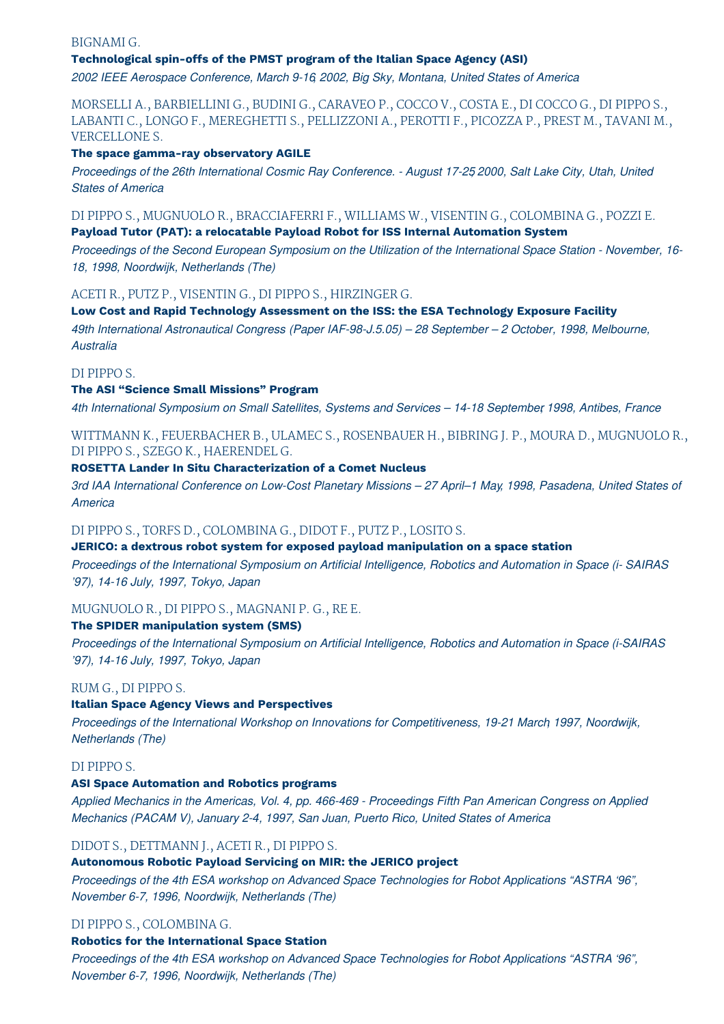#### BIGNAMI G. **Technological spin-offs of the PMST program of the Italian Space Agency (ASI)**

*2002 IEEE Aerospace Conference, March 9-16, 2002, Big Sky, Montana, United States of America*

MORSELLI A., BARBIELLINI G., BUDINI G., CARAVEO P., COCCO V., COSTA E., DI COCCO G., DI PIPPO S., LABANTI C., LONGO F., MEREGHETTI S., PELLIZZONI A., PEROTTI F., PICOZZA P., PREST M., TAVANI M., VERCELLONE S.

#### **The space gamma-ray observatory AGILE**

Proceedings of the 26th International Cosmic Ray Conference. - August 17-25 2000, Salt Lake City, Utah, United *States of America*

DI PIPPO S., MUGNUOLO R., BRACCIAFERRI F., WILLIAMS W., VISENTIN G., COLOMBINA G., POZZI E.

#### **Payload Tutor (PAT): a relocatable Payload Robot for ISS Internal Automation System**

Proceedings of the Second European Symposium on the Utilization of the International Space Station - November, 16-*18, 1998, Noordwijk, Netherlands (The)*

#### ACETI R., PUTZ P., VISENTIN G., DI PIPPO S., HIRZINGER G.

**Low Cost and Rapid Technology Assessment on the ISS: the ESA Technology Exposure Facility** *49th International Astronautical Congress (Paper IAF-98-J.5.05) – 28 September – 2 October, 1998, Melbourne, Australia*

#### DI PIPPO S.

#### **The ASI "Science Small Missions" Program**

*4th International Symposium on Small Satellites, Systems and Services – 14-18 September, 1998, Antibes, France*

WITTMANN K., FEUERBACHER B., ULAMEC S., ROSENBAUER H., BIBRING J. P., MOURA D., MUGNUOLO R., DI PIPPO S., SZEGO K., HAERENDEL G.

#### **ROSETTA Lander In Situ Characterization of a Comet Nucleus**

3rd IAA International Conference on Low-Cost Planetary Missions - 27 April-1 May, 1998, Pasadena, United States of *America*

#### DI PIPPO S., TORFS D., COLOMBINA G., DIDOT F., PUTZ P., LOSITO S.

#### **JERICO: a dextrous robot system for exposed payload manipulation on a space station**

*Proceedings of the International Symposium on Artificial Intelligence, Robotics and Automation in Space (i- SAIRAS '97), 14-16 July, 1997, Tokyo, Japan*

#### MUGNUOLO R., DI PIPPO S., MAGNANI P. G., RE E.

#### **The SPIDER manipulation system (SMS)**

*Proceedings of the International Symposium on Artificial Intelligence, Robotics and Automation in Space (i-SAIRAS '97), 14-16 July, 1997, Tokyo, Japan*

#### RUM G., DI PIPPO S.

#### **Italian Space Agency Views and Perspectives**

*Proceedings of the International Workshop on Innovations for Competitiveness, 19-21 March, 1997, Noordwijk, Netherlands (The)*

#### DI PIPPO S.

#### **ASI Space Automation and Robotics programs**

Applied Mechanics in the Americas, Vol. 4, pp. 466-469 - Proceedings Fifth Pan American Congress on Applied *Mechanics (PACAM V), January 2-4, 1997, San Juan, Puerto Rico, United States of America*

#### DIDOT S., DETTMANN J., ACETI R., DI PIPPO S.

#### **Autonomous Robotic Payload Servicing on MIR: the JERICO project**

*Proceedings of the 4th ESA workshop on Advanced Space Technologies for Robot Applications "ASTRA '96", November 6-7, 1996, Noordwijk, Netherlands (The)*

#### DI PIPPO S., COLOMBINA G.

#### **Robotics for the International Space Station**

*Proceedings of the 4th ESA workshop on Advanced Space Technologies for Robot Applications "ASTRA '96", November 6-7, 1996, Noordwijk, Netherlands (The)*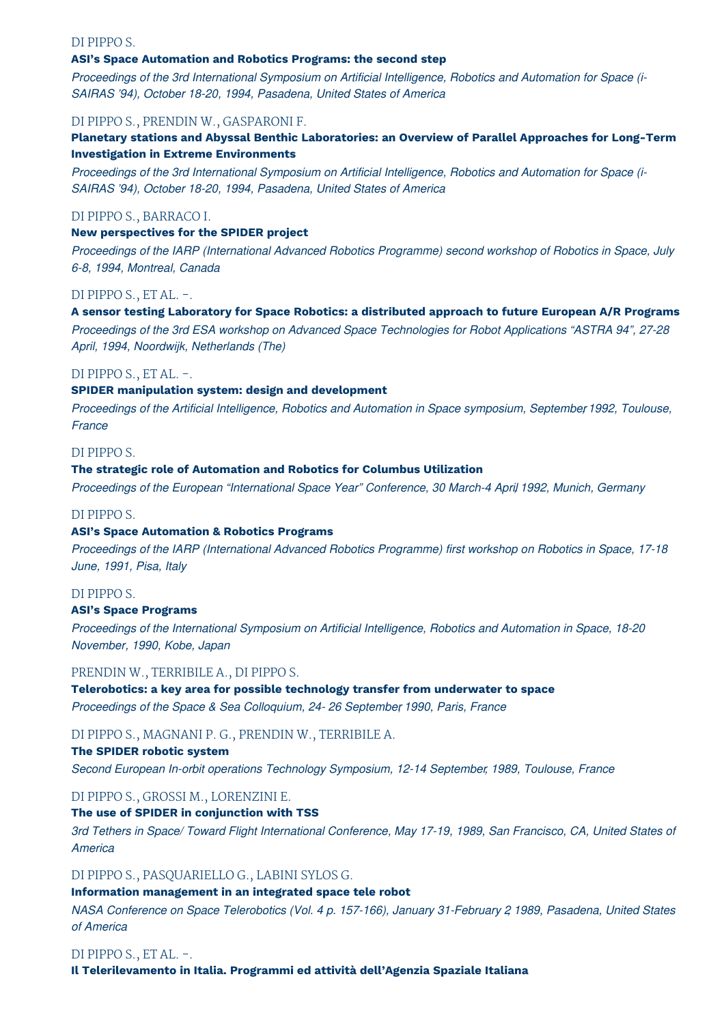#### DI PIPPO S.

#### **ASI's Space Automation and Robotics Programs: the second step**

*Proceedings of the 3rd International Symposium on Artificial Intelligence, Robotics and Automation for Space (i-SAIRAS '94), October 18-20, 1994, Pasadena, United States of America*

#### DI PIPPO S., PRENDIN W., GASPARONI F.

**Planetary stations and Abyssal Benthic Laboratories: an Overview of Parallel Approaches for Long-Term Investigation in Extreme Environments**

*Proceedings of the 3rd International Symposium on Artificial Intelligence, Robotics and Automation for Space (i-SAIRAS '94), October 18-20, 1994, Pasadena, United States of America*

#### DI PIPPO S., BARRACO I.

#### **New perspectives for the SPIDER project**

*Proceedings of the IARP (International Advanced Robotics Programme) second workshop of Robotics in Space, July 6-8, 1994, Montreal, Canada*

#### DI PIPPO S., ET AL. -.

#### **A sensor testing Laboratory for Space Robotics: a distributed approach to future European A/R Programs**

*Proceedings of the 3rd ESA workshop on Advanced Space Technologies for Robot Applications "ASTRA 94", 27-28 April, 1994, Noordwijk, Netherlands (The)*

#### DI PIPPO S., ET AL. -.

#### **SPIDER manipulation system: design and development**

*Proceedings of the Artificial Intelligence, Robotics and Automation in Space symposium, September 1992, Toulouse, France*

#### DI PIPPO S.

#### **The strategic role of Automation and Robotics for Columbus Utilization**

*Proceedings of the European "International Space Year" Conference, 30 March-4 Apri,l 1992, Munich, Germany*

#### DI PIPPO S.

#### **ASI's Space Automation & Robotics Programs**

*Proceedings of the IARP (International Advanced Robotics Programme) first workshop on Robotics in Space, 17-18 June, 1991, Pisa, Italy*

#### DI PIPPO S.

#### **ASI's Space Programs**

*Proceedings of the International Symposium on Artificial Intelligence, Robotics and Automation in Space, 18-20 November, 1990, Kobe, Japan*

#### PRENDIN W., TERRIBILE A., DI PIPPO S.

**Telerobotics: a key area for possible technology transfer from underwater to space** *Proceedings of the Space & Sea Colloquium, 24- 26 September, 1990, Paris, France*

#### DI PIPPO S., MAGNANI P. G., PRENDIN W., TERRIBILE A.

#### **The SPIDER robotic system**

*Second European In-orbit operations Technology Symposium, 12-14 September, 1989, Toulouse, France*

#### DI PIPPO S., GROSSI M., LORENZINI E.

#### **The use of SPIDER in conjunction with TSS**

3rd Tethers in Space/ Toward Flight International Conference, May 17-19, 1989, San Francisco, CA, United States of *America*

DI PIPPO S., PASQUARIELLO G., LABINI SYLOS G.

#### **Information management in an integrated space tele robot**

*NASA Conference on Space Telerobotics (Vol. 4 p. 157-166), January 31-February 2, 1989, Pasadena, United States of America*

DI PIPPO S., ET AL. -.

**Il Telerilevamento in Italia. Programmi ed attività dell'Agenzia Spaziale Italiana**